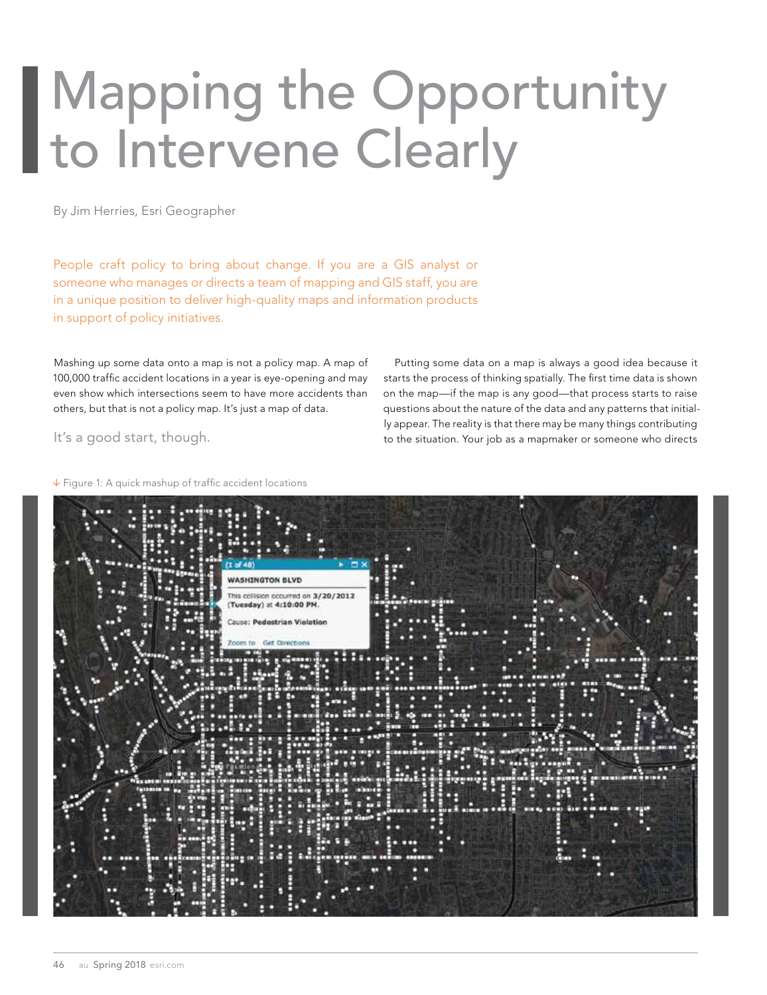# Mapping the Opportunity Ito Intervene Clearly

By Jim Herries, Esri Geographer

People craft policy to bring about change. If you are a GIS analyst or someone who manages or directs a team of mapping and GIS staff, you are in a unique position to deliver high-quality maps and information products in support of policy initiatives.

Mashing up some data onto a map is not a policy map. A map of 100,000 traffic accident locations in a year is eye-opening and may even show which intersections seem to have more accidents than others, but that is not a policy map. It's just a map of data.

Putting some data on a map is always a good idea because it starts the process of thinking spatially. The first time data is shown on the map—if the map is any good—that process starts to raise questions about the nature of the data and any patterns that initially appear. The reality is that there may be many things contributing to the situation. Your job as a mapmaker or someone who directs

It's a good start, though.



 $\overline{\triangledown}$  Figure 1: A quick mashup of traffic accident locations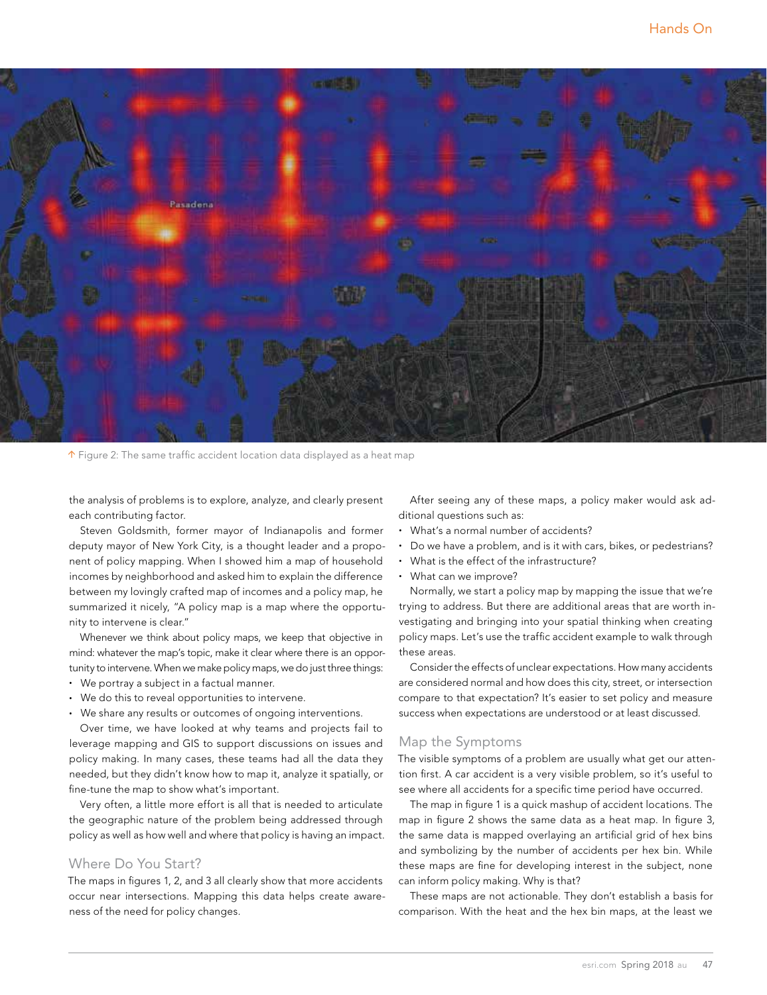

 $\uparrow$  Figure 2: The same traffic accident location data displayed as a heat map

the analysis of problems is to explore, analyze, and clearly present each contributing factor.

Steven Goldsmith, former mayor of Indianapolis and former deputy mayor of New York City, is a thought leader and a proponent of policy mapping. When I showed him a map of household incomes by neighborhood and asked him to explain the difference between my lovingly crafted map of incomes and a policy map, he summarized it nicely, "A policy map is a map where the opportunity to intervene is clear."

Whenever we think about policy maps, we keep that objective in mind: whatever the map's topic, make it clear where there is an opportunity to intervene. When we make policy maps, we do just three things:

- We portray a subject in a factual manner.
- We do this to reveal opportunities to intervene.
- We share any results or outcomes of ongoing interventions.

Over time, we have looked at why teams and projects fail to leverage mapping and GIS to support discussions on issues and policy making. In many cases, these teams had all the data they needed, but they didn't know how to map it, analyze it spatially, or fine-tune the map to show what's important.

Very often, a little more effort is all that is needed to articulate the geographic nature of the problem being addressed through policy as well as how well and where that policy is having an impact.

#### Where Do You Start?

The maps in figures 1, 2, and 3 all clearly show that more accidents occur near intersections. Mapping this data helps create awareness of the need for policy changes.

After seeing any of these maps, a policy maker would ask additional questions such as:

- What's a normal number of accidents?
- Do we have a problem, and is it with cars, bikes, or pedestrians?
- What is the effect of the infrastructure?
- What can we improve?

Normally, we start a policy map by mapping the issue that we're trying to address. But there are additional areas that are worth investigating and bringing into your spatial thinking when creating policy maps. Let's use the traffic accident example to walk through these areas.

Consider the effects of unclear expectations. How many accidents are considered normal and how does this city, street, or intersection compare to that expectation? It's easier to set policy and measure success when expectations are understood or at least discussed.

#### Map the Symptoms

The visible symptoms of a problem are usually what get our attention first. A car accident is a very visible problem, so it's useful to see where all accidents for a specific time period have occurred.

The map in figure 1 is a quick mashup of accident locations. The map in figure 2 shows the same data as a heat map. In figure 3, the same data is mapped overlaying an artificial grid of hex bins and symbolizing by the number of accidents per hex bin. While these maps are fine for developing interest in the subject, none can inform policy making. Why is that?

These maps are not actionable. They don't establish a basis for comparison. With the heat and the hex bin maps, at the least we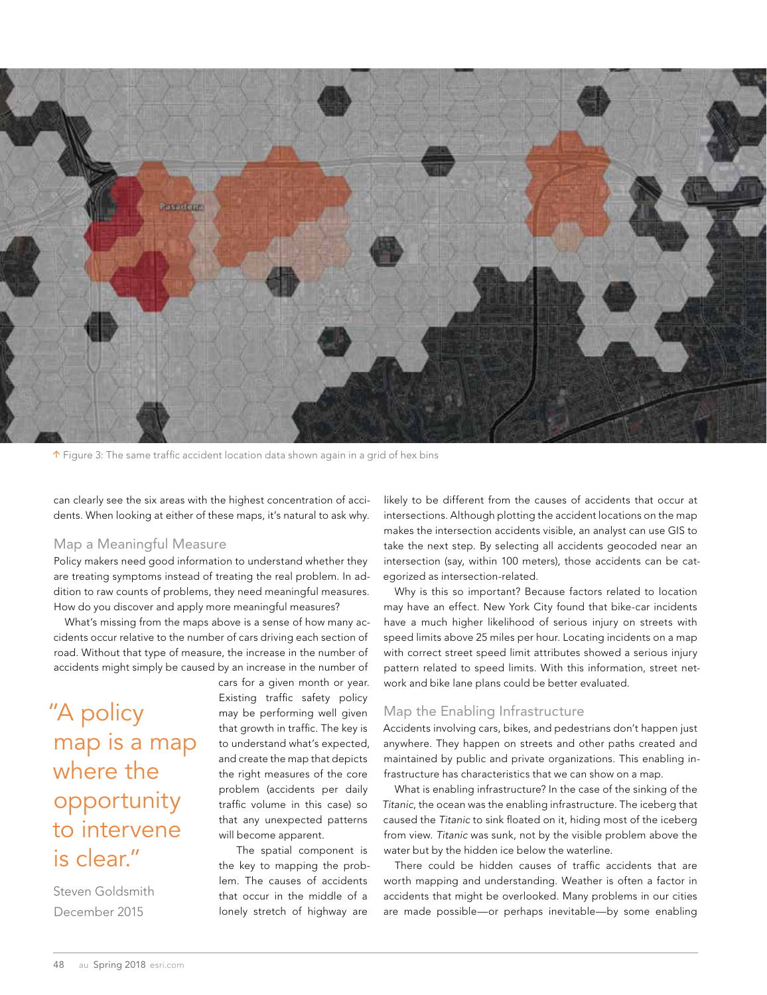

 $\uparrow$  Figure 3: The same traffic accident location data shown again in a grid of hex bins

can clearly see the six areas with the highest concentration of accidents. When looking at either of these maps, it's natural to ask why.

#### Map a Meaningful Measure

Policy makers need good information to understand whether they are treating symptoms instead of treating the real problem. In addition to raw counts of problems, they need meaningful measures. How do you discover and apply more meaningful measures?

What's missing from the maps above is a sense of how many accidents occur relative to the number of cars driving each section of road. Without that type of measure, the increase in the number of accidents might simply be caused by an increase in the number of

"A policy map is a map where the opportunity to intervene is clear."

Steven Goldsmith December 2015

cars for a given month or year. Existing traffic safety policy may be performing well given that growth in traffic. The key is to understand what's expected, and create the map that depicts the right measures of the core problem (accidents per daily traffic volume in this case) so that any unexpected patterns will become apparent.

The spatial component is the key to mapping the problem. The causes of accidents that occur in the middle of a lonely stretch of highway are

likely to be different from the causes of accidents that occur at intersections. Although plotting the accident locations on the map makes the intersection accidents visible, an analyst can use GIS to take the next step. By selecting all accidents geocoded near an intersection (say, within 100 meters), those accidents can be categorized as intersection-related.

Why is this so important? Because factors related to location may have an effect. New York City found that bike-car incidents have a much higher likelihood of serious injury on streets with speed limits above 25 miles per hour. Locating incidents on a map with correct street speed limit attributes showed a serious injury pattern related to speed limits. With this information, street network and bike lane plans could be better evaluated.

#### Map the Enabling Infrastructure

Accidents involving cars, bikes, and pedestrians don't happen just anywhere. They happen on streets and other paths created and maintained by public and private organizations. This enabling infrastructure has characteristics that we can show on a map.

What is enabling infrastructure? In the case of the sinking of the *Titanic*, the ocean was the enabling infrastructure. The iceberg that caused the *Titanic* to sink floated on it, hiding most of the iceberg from view. *Titanic* was sunk, not by the visible problem above the water but by the hidden ice below the waterline.

There could be hidden causes of traffic accidents that are worth mapping and understanding. Weather is often a factor in accidents that might be overlooked. Many problems in our cities are made possible—or perhaps inevitable—by some enabling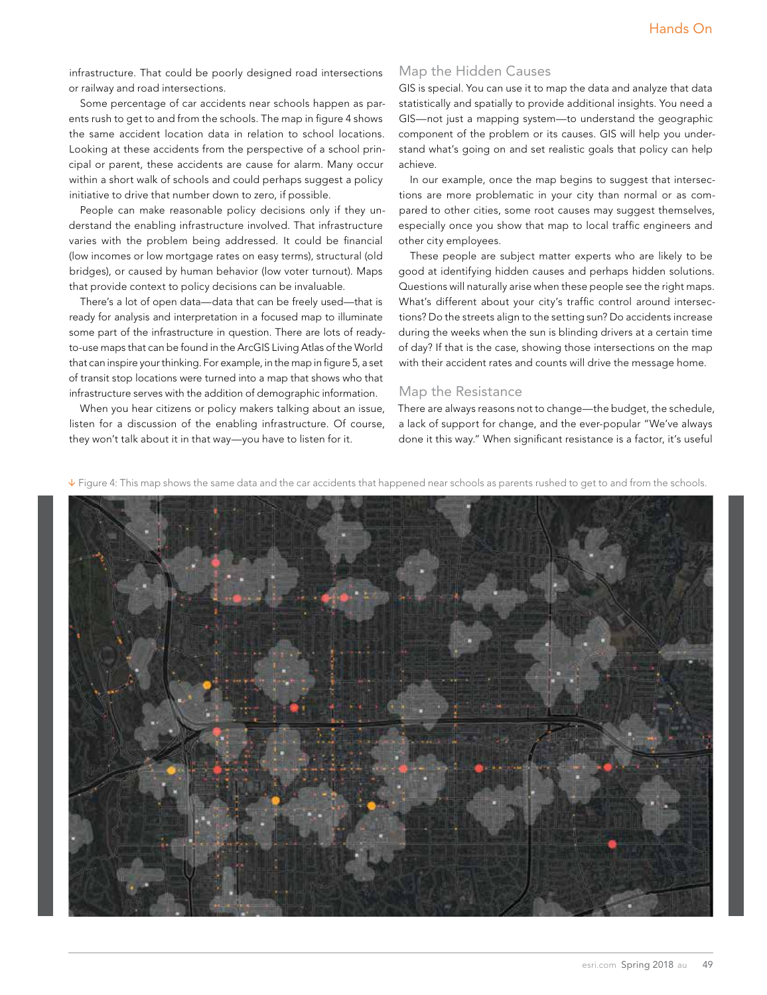infrastructure. That could be poorly designed road intersections or railway and road intersections.

Some percentage of car accidents near schools happen as parents rush to get to and from the schools. The map in figure 4 shows the same accident location data in relation to school locations. Looking at these accidents from the perspective of a school principal or parent, these accidents are cause for alarm. Many occur within a short walk of schools and could perhaps suggest a policy initiative to drive that number down to zero, if possible.

People can make reasonable policy decisions only if they understand the enabling infrastructure involved. That infrastructure varies with the problem being addressed. It could be financial (low incomes or low mortgage rates on easy terms), structural (old bridges), or caused by human behavior (low voter turnout). Maps that provide context to policy decisions can be invaluable.

There's a lot of open data—data that can be freely used—that is ready for analysis and interpretation in a focused map to illuminate some part of the infrastructure in question. There are lots of readyto-use maps that can be found in the ArcGIS Living Atlas of the World that can inspire your thinking. For example, in the map in figure 5, a set of transit stop locations were turned into a map that shows who that infrastructure serves with the addition of demographic information.

When you hear citizens or policy makers talking about an issue, listen for a discussion of the enabling infrastructure. Of course, they won't talk about it in that way—you have to listen for it.

# Map the Hidden Causes

GIS is special. You can use it to map the data and analyze that data statistically and spatially to provide additional insights. You need a GIS—not just a mapping system—to understand the geographic component of the problem or its causes. GIS will help you understand what's going on and set realistic goals that policy can help achieve.

In our example, once the map begins to suggest that intersections are more problematic in your city than normal or as compared to other cities, some root causes may suggest themselves, especially once you show that map to local traffic engineers and other city employees.

These people are subject matter experts who are likely to be good at identifying hidden causes and perhaps hidden solutions. Questions will naturally arise when these people see the right maps. What's different about your city's traffic control around intersections? Do the streets align to the setting sun? Do accidents increase during the weeks when the sun is blinding drivers at a certain time of day? If that is the case, showing those intersections on the map with their accident rates and counts will drive the message home.

## Map the Resistance

There are always reasons not to change—the budget, the schedule, a lack of support for change, and the ever-popular "We've always done it this way." When significant resistance is a factor, it's useful

 $\bm \downarrow$  Figure 4: This map shows the same data and the car accidents that happened near schools as parents rushed to get to and from the schools.

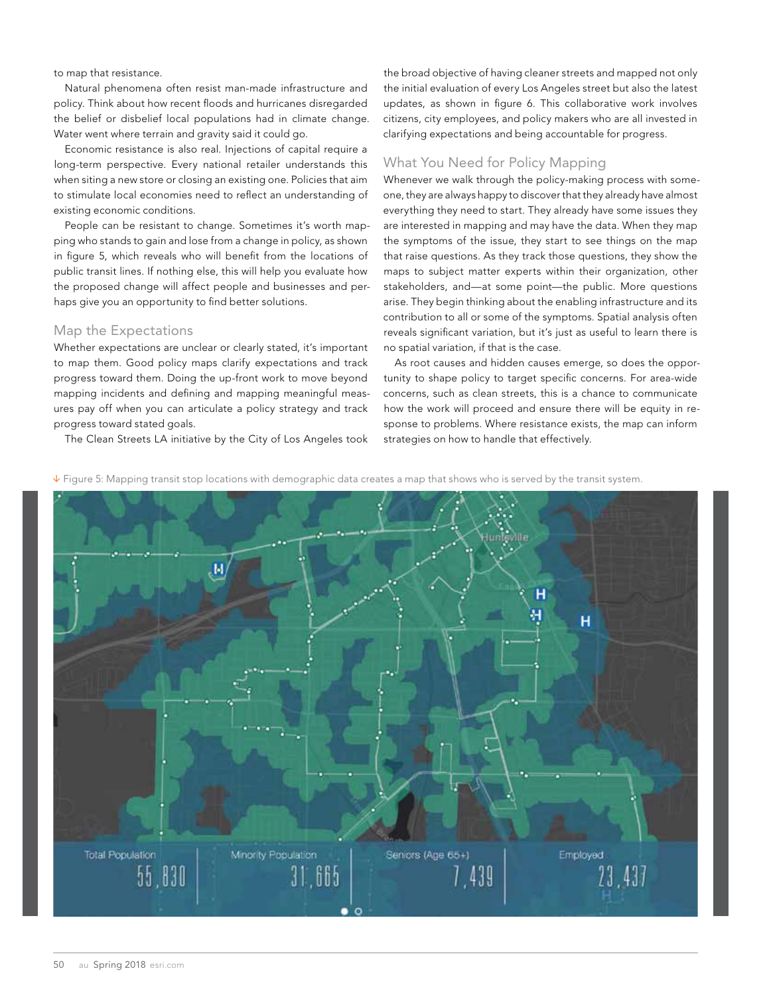to map that resistance.

Natural phenomena often resist man-made infrastructure and policy. Think about how recent floods and hurricanes disregarded the belief or disbelief local populations had in climate change. Water went where terrain and gravity said it could go.

Economic resistance is also real. Injections of capital require a long-term perspective. Every national retailer understands this when siting a new store or closing an existing one. Policies that aim to stimulate local economies need to reflect an understanding of existing economic conditions.

People can be resistant to change. Sometimes it's worth mapping who stands to gain and lose from a change in policy, as shown in figure 5, which reveals who will benefit from the locations of public transit lines. If nothing else, this will help you evaluate how the proposed change will affect people and businesses and perhaps give you an opportunity to find better solutions.

#### Map the Expectations

Whether expectations are unclear or clearly stated, it's important to map them. Good policy maps clarify expectations and track progress toward them. Doing the up-front work to move beyond mapping incidents and defining and mapping meaningful measures pay off when you can articulate a policy strategy and track progress toward stated goals.

The Clean Streets LA initiative by the City of Los Angeles took

the broad objective of having cleaner streets and mapped not only the initial evaluation of every Los Angeles street but also the latest updates, as shown in figure 6. This collaborative work involves citizens, city employees, and policy makers who are all invested in clarifying expectations and being accountable for progress.

### What You Need for Policy Mapping

Whenever we walk through the policy-making process with someone, they are always happy to discover that they already have almost everything they need to start. They already have some issues they are interested in mapping and may have the data. When they map the symptoms of the issue, they start to see things on the map that raise questions. As they track those questions, they show the maps to subject matter experts within their organization, other stakeholders, and—at some point—the public. More questions arise. They begin thinking about the enabling infrastructure and its contribution to all or some of the symptoms. Spatial analysis often reveals significant variation, but it's just as useful to learn there is no spatial variation, if that is the case.

As root causes and hidden causes emerge, so does the opportunity to shape policy to target specific concerns. For area-wide concerns, such as clean streets, this is a chance to communicate how the work will proceed and ensure there will be equity in response to problems. Where resistance exists, the map can inform strategies on how to handle that effectively.

Figure 5: Mapping transit stop locations with demographic data creates a map that shows who is served by the transit system.